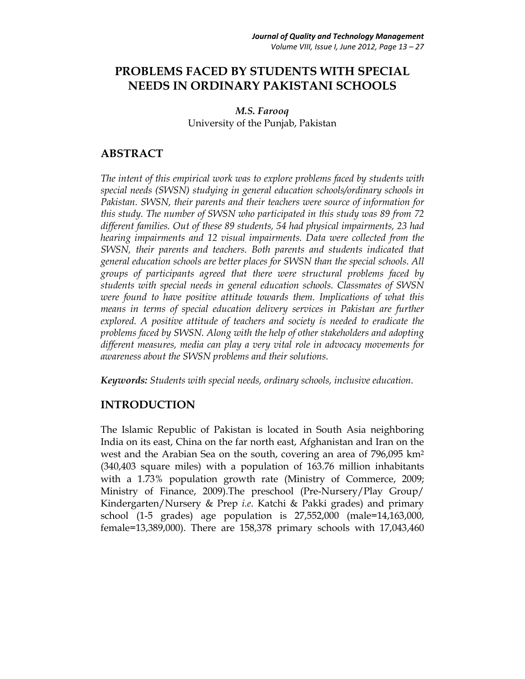# **PROBLEMS FACED BY STUDENTS WITH SPECIAL NEEDS IN ORDINARY PAKISTANI SCHOOLS**

*M.S. Farooq*  University of the Punjab, Pakistan

## **ABSTRACT**

*The intent of this empirical work was to explore problems faced by students with special needs (SWSN) studying in general education schools/ordinary schools in Pakistan. SWSN, their parents and their teachers were source of information for this study. The number of SWSN who participated in this study was 89 from 72 different families. Out of these 89 students, 54 had physical impairments, 23 had hearing impairments and 12 visual impairments. Data were collected from the SWSN, their parents and teachers. Both parents and students indicated that general education schools are better places for SWSN than the special schools. All groups of participants agreed that there were structural problems faced by students with special needs in general education schools. Classmates of SWSN were found to have positive attitude towards them. Implications of what this means in terms of special education delivery services in Pakistan are further* explored. A positive attitude of teachers and society is needed to eradicate the *problems faced by SWSN. Along with the help of other stakeholders and adopting different measures, media can play a very vital role in advocacy movements for awareness about the SWSN problems and their solutions.* 

*Keywords: Students with special needs, ordinary schools, inclusive education.* 

## **INTRODUCTION**

The Islamic Republic of Pakistan is located in South Asia neighboring India on its east, China on the far north east, Afghanistan and Iran on the west and the Arabian Sea on the south, covering an area of 796,095 km2 (340,403 square miles) with a population of 163.76 million inhabitants with a 1.73% population growth rate (Ministry of Commerce, 2009; Ministry of Finance, 2009).The preschool (Pre-Nursery/Play Group/ Kindergarten/Nursery & Prep *i.e*. Katchi & Pakki grades) and primary school (1-5 grades) age population is 27,552,000 (male=14,163,000, female=13,389,000). There are 158,378 primary schools with 17,043,460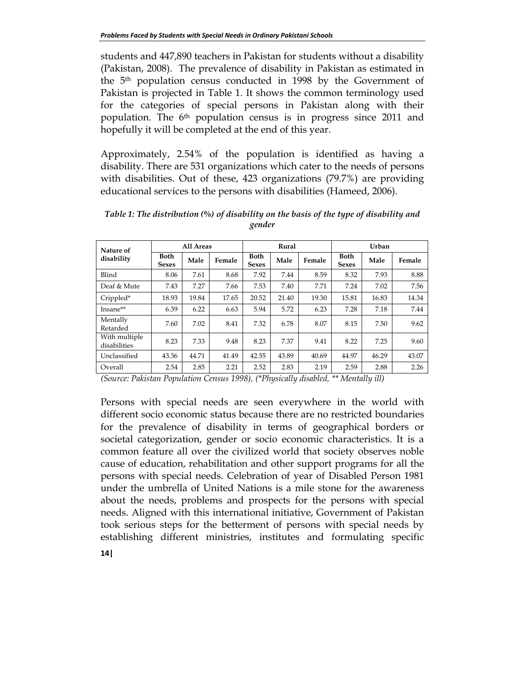students and 447,890 teachers in Pakistan for students without a disability (Pakistan, 2008). The prevalence of disability in Pakistan as estimated in the 5th population census conducted in 1998 by the Government of Pakistan is projected in Table 1. It shows the common terminology used for the categories of special persons in Pakistan along with their population. The  $6<sup>th</sup>$  population census is in progress since 2011 and hopefully it will be completed at the end of this year.

Approximately, 2.54% of the population is identified as having a disability. There are 531 organizations which cater to the needs of persons with disabilities. Out of these, 423 organizations (79.7%) are providing educational services to the persons with disabilities (Hameed, 2006).

| Nature of                     | All Areas                   |       |        | Rural                       |       |        | Urban                       |       |        |
|-------------------------------|-----------------------------|-------|--------|-----------------------------|-------|--------|-----------------------------|-------|--------|
| disability                    | <b>Both</b><br><b>Sexes</b> | Male  | Female | <b>Both</b><br><b>Sexes</b> | Male  | Female | <b>Both</b><br><b>Sexes</b> | Male  | Female |
| Blind                         | 8.06                        | 7.61  | 8.68   | 7.92                        | 7.44  | 8.59   | 8.32                        | 7.93  | 8.88   |
| Deaf & Mute                   | 7.43                        | 7.27  | 7.66   | 7.53                        | 7.40  | 7.71   | 7.24                        | 7.02  | 7.56   |
| Crippled*                     | 18.93                       | 19.84 | 17.65  | 20.52                       | 21.40 | 19.30  | 15.81                       | 16.83 | 14.34  |
| Insane**                      | 6.39                        | 6.22  | 6.63   | 5.94                        | 5.72  | 6.23   | 7.28                        | 7.18  | 7.44   |
| Mentally<br>Retarded          | 7.60                        | 7.02  | 8.41   | 7.32                        | 6.78  | 8.07   | 8.15                        | 7.50  | 9.62   |
| With multiple<br>disabilities | 8.23                        | 7.33  | 9.48   | 8.23                        | 7.37  | 9.41   | 8.22                        | 7.25  | 9.60   |
| Unclassified                  | 43.36                       | 44.71 | 41.49  | 42.55                       | 43.89 | 40.69  | 44.97                       | 46.29 | 43.07  |
| Overall                       | 2.54                        | 2.85  | 2.21   | 2.52                        | 2.83  | 2.19   | 2.59                        | 2.88  | 2.26   |

*Table 1: The distribution (%) of disability on the basis of the type of disability and gender* 

*(Source: Pakistan Population Census 1998), (\*Physically disabled, \*\* Mentally ill)* 

Persons with special needs are seen everywhere in the world with different socio economic status because there are no restricted boundaries for the prevalence of disability in terms of geographical borders or societal categorization, gender or socio economic characteristics. It is a common feature all over the civilized world that society observes noble cause of education, rehabilitation and other support programs for all the persons with special needs. Celebration of year of Disabled Person 1981 under the umbrella of United Nations is a mile stone for the awareness about the needs, problems and prospects for the persons with special needs. Aligned with this international initiative, Government of Pakistan took serious steps for the betterment of persons with special needs by establishing different ministries, institutes and formulating specific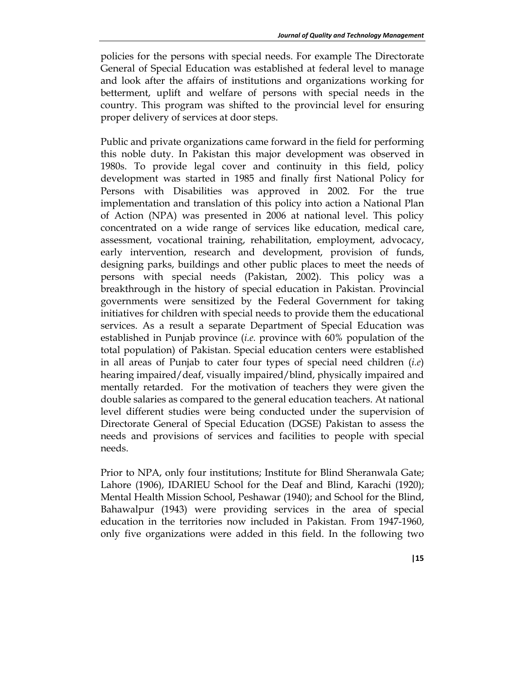policies for the persons with special needs. For example The Directorate General of Special Education was established at federal level to manage and look after the affairs of institutions and organizations working for betterment, uplift and welfare of persons with special needs in the country. This program was shifted to the provincial level for ensuring proper delivery of services at door steps.

Public and private organizations came forward in the field for performing this noble duty. In Pakistan this major development was observed in 1980s. To provide legal cover and continuity in this field, policy development was started in 1985 and finally first National Policy for Persons with Disabilities was approved in 2002. For the true implementation and translation of this policy into action a National Plan of Action (NPA) was presented in 2006 at national level. This policy concentrated on a wide range of services like education, medical care, assessment, vocational training, rehabilitation, employment, advocacy, early intervention, research and development, provision of funds, designing parks, buildings and other public places to meet the needs of persons with special needs (Pakistan, 2002). This policy was a breakthrough in the history of special education in Pakistan. Provincial governments were sensitized by the Federal Government for taking initiatives for children with special needs to provide them the educational services. As a result a separate Department of Special Education was established in Punjab province (*i.e.* province with 60% population of the total population) of Pakistan. Special education centers were established in all areas of Punjab to cater four types of special need children (*i.e*) hearing impaired/deaf, visually impaired/blind, physically impaired and mentally retarded. For the motivation of teachers they were given the double salaries as compared to the general education teachers. At national level different studies were being conducted under the supervision of Directorate General of Special Education (DGSE) Pakistan to assess the needs and provisions of services and facilities to people with special needs.

Prior to NPA, only four institutions; Institute for Blind Sheranwala Gate; Lahore (1906), IDARIEU School for the Deaf and Blind, Karachi (1920); Mental Health Mission School, Peshawar (1940); and School for the Blind, Bahawalpur (1943) were providing services in the area of special education in the territories now included in Pakistan. From 1947-1960, only five organizations were added in this field. In the following two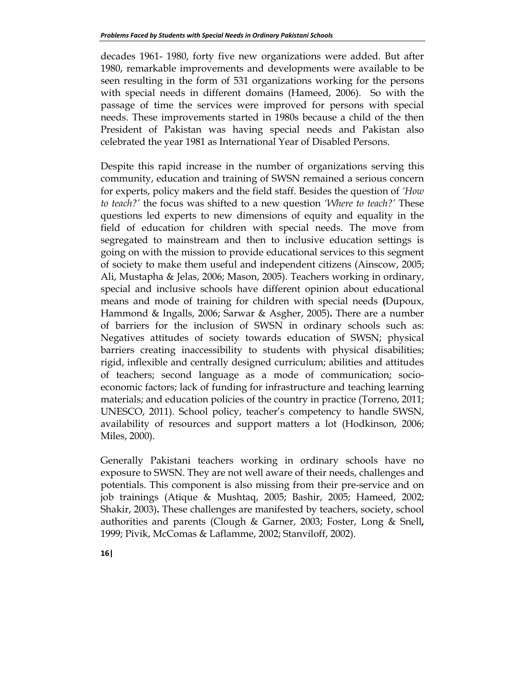decades 1961- 1980, forty five new organizations were added. But after 1980, remarkable improvements and developments were available to be seen resulting in the form of 531 organizations working for the persons with special needs in different domains (Hameed, 2006). So with the passage of time the services were improved for persons with special needs. These improvements started in 1980s because a child of the then President of Pakistan was having special needs and Pakistan also celebrated the year 1981 as International Year of Disabled Persons.

Despite this rapid increase in the number of organizations serving this community, education and training of SWSN remained a serious concern for experts, policy makers and the field staff. Besides the question of *'How to teach?'* the focus was shifted to a new question *'Where to teach?'* These questions led experts to new dimensions of equity and equality in the field of education for children with special needs. The move from segregated to mainstream and then to inclusive education settings is going on with the mission to provide educational services to this segment of society to make them useful and independent citizens (Ainscow, 2005; Ali, Mustapha & Jelas, 2006; Mason, 2005). Teachers working in ordinary, special and inclusive schools have different opinion about educational means and mode of training for children with special needs **(**Dupoux, Hammond & Ingalls, 2006; Sarwar & Asgher, 2005)**.** There are a number of barriers for the inclusion of SWSN in ordinary schools such as: Negatives attitudes of society towards education of SWSN; physical barriers creating inaccessibility to students with physical disabilities; rigid, inflexible and centrally designed curriculum; abilities and attitudes of teachers; second language as a mode of communication; socioeconomic factors; lack of funding for infrastructure and teaching learning materials; and education policies of the country in practice (Torreno, 2011; UNESCO, 2011). School policy, teacher's competency to handle SWSN, availability of resources and support matters a lot (Hodkinson, 2006; Miles, 2000).

Generally Pakistani teachers working in ordinary schools have no exposure to SWSN. They are not well aware of their needs, challenges and potentials. This component is also missing from their pre-service and on job trainings (Atique & Mushtaq, 2005; Bashir, 2005; Hameed, 2002; Shakir, 2003)**.** These challenges are manifested by teachers, society, school authorities and parents (Clough & Garner, 2003; Foster, Long & Snell**,** 1999; Pivik, McComas & Laflamme, 2002; Stanviloff, 2002).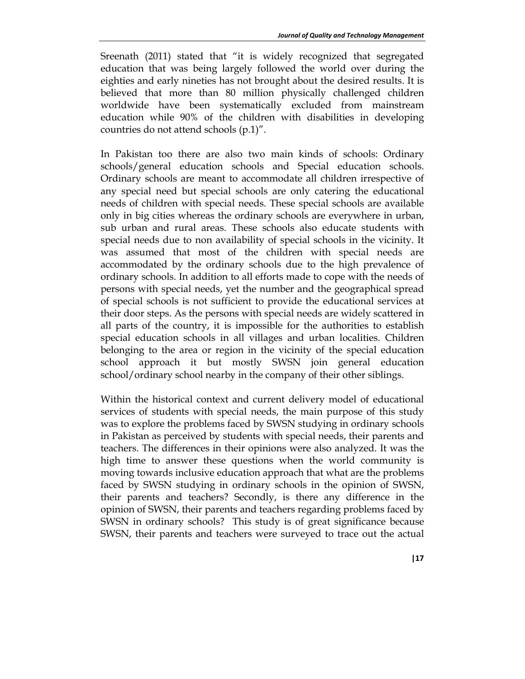Sreenath (2011) stated that "it is widely recognized that segregated education that was being largely followed the world over during the eighties and early nineties has not brought about the desired results. It is believed that more than 80 million physically challenged children worldwide have been systematically excluded from mainstream education while 90% of the children with disabilities in developing countries do not attend schools (p.1)".

In Pakistan too there are also two main kinds of schools: Ordinary schools/general education schools and Special education schools. Ordinary schools are meant to accommodate all children irrespective of any special need but special schools are only catering the educational needs of children with special needs. These special schools are available only in big cities whereas the ordinary schools are everywhere in urban, sub urban and rural areas. These schools also educate students with special needs due to non availability of special schools in the vicinity. It was assumed that most of the children with special needs are accommodated by the ordinary schools due to the high prevalence of ordinary schools. In addition to all efforts made to cope with the needs of persons with special needs, yet the number and the geographical spread of special schools is not sufficient to provide the educational services at their door steps. As the persons with special needs are widely scattered in all parts of the country, it is impossible for the authorities to establish special education schools in all villages and urban localities. Children belonging to the area or region in the vicinity of the special education school approach it but mostly SWSN join general education school/ordinary school nearby in the company of their other siblings.

Within the historical context and current delivery model of educational services of students with special needs, the main purpose of this study was to explore the problems faced by SWSN studying in ordinary schools in Pakistan as perceived by students with special needs, their parents and teachers. The differences in their opinions were also analyzed. It was the high time to answer these questions when the world community is moving towards inclusive education approach that what are the problems faced by SWSN studying in ordinary schools in the opinion of SWSN, their parents and teachers? Secondly, is there any difference in the opinion of SWSN, their parents and teachers regarding problems faced by SWSN in ordinary schools? This study is of great significance because SWSN, their parents and teachers were surveyed to trace out the actual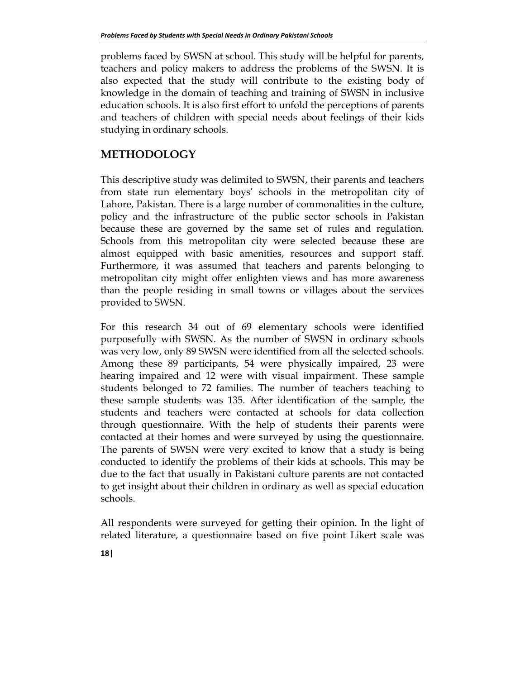problems faced by SWSN at school. This study will be helpful for parents, teachers and policy makers to address the problems of the SWSN. It is also expected that the study will contribute to the existing body of knowledge in the domain of teaching and training of SWSN in inclusive education schools. It is also first effort to unfold the perceptions of parents and teachers of children with special needs about feelings of their kids studying in ordinary schools.

## **METHODOLOGY**

This descriptive study was delimited to SWSN, their parents and teachers from state run elementary boys' schools in the metropolitan city of Lahore, Pakistan. There is a large number of commonalities in the culture, policy and the infrastructure of the public sector schools in Pakistan because these are governed by the same set of rules and regulation. Schools from this metropolitan city were selected because these are almost equipped with basic amenities, resources and support staff. Furthermore, it was assumed that teachers and parents belonging to metropolitan city might offer enlighten views and has more awareness than the people residing in small towns or villages about the services provided to SWSN.

For this research 34 out of 69 elementary schools were identified purposefully with SWSN. As the number of SWSN in ordinary schools was very low, only 89 SWSN were identified from all the selected schools. Among these 89 participants, 54 were physically impaired, 23 were hearing impaired and 12 were with visual impairment. These sample students belonged to 72 families. The number of teachers teaching to these sample students was 135. After identification of the sample, the students and teachers were contacted at schools for data collection through questionnaire. With the help of students their parents were contacted at their homes and were surveyed by using the questionnaire. The parents of SWSN were very excited to know that a study is being conducted to identify the problems of their kids at schools. This may be due to the fact that usually in Pakistani culture parents are not contacted to get insight about their children in ordinary as well as special education schools.

All respondents were surveyed for getting their opinion. In the light of related literature, a questionnaire based on five point Likert scale was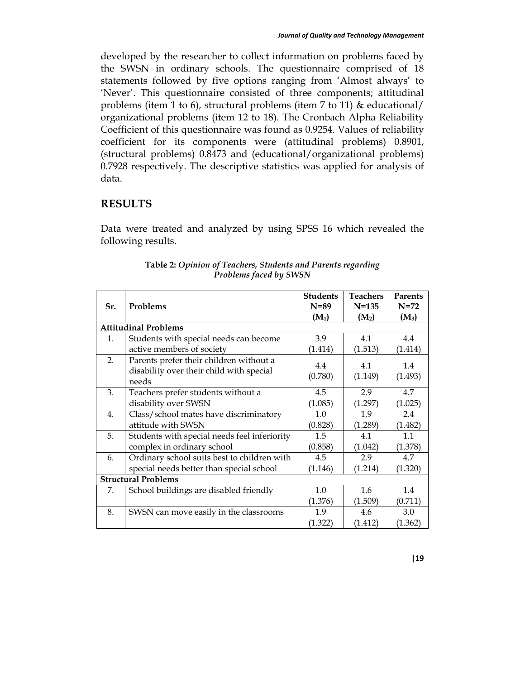developed by the researcher to collect information on problems faced by the SWSN in ordinary schools. The questionnaire comprised of 18 statements followed by five options ranging from 'Almost always' to 'Never'. This questionnaire consisted of three components; attitudinal problems (item 1 to 6), structural problems (item 7 to 11) & educational/ organizational problems (item 12 to 18). The Cronbach Alpha Reliability Coefficient of this questionnaire was found as 0.9254. Values of reliability coefficient for its components were (attitudinal problems) 0.8901, (structural problems) 0.8473 and (educational/organizational problems) 0.7928 respectively. The descriptive statistics was applied for analysis of data.

## **RESULTS**

Data were treated and analyzed by using SPSS 16 which revealed the following results.

| Sr. | Problems                                                                                     | <b>Students</b><br>$N=89$ | <b>Teachers</b><br>$N = 135$ | <b>Parents</b><br>$N=72$ |  |
|-----|----------------------------------------------------------------------------------------------|---------------------------|------------------------------|--------------------------|--|
|     |                                                                                              | $(M_1)$                   | $(M_2)$                      | $(M_3)$                  |  |
|     | <b>Attitudinal Problems</b>                                                                  |                           |                              |                          |  |
| 1.  | Students with special needs can become                                                       | 3.9                       | 4.1                          | 4.4                      |  |
|     | active members of society                                                                    | (1.414)                   | (1.513)                      | (1.414)                  |  |
| 2.  | Parents prefer their children without a<br>disability over their child with special<br>needs | 4.4<br>(0.780)            | 4.1<br>(1.149)               | 1.4<br>(1.493)           |  |
| 3.  | Teachers prefer students without a                                                           | 4.5                       | 2.9                          | 4.7                      |  |
|     | disability over SWSN                                                                         | (1.085)                   | (1.297)                      | (1.025)                  |  |
| 4.  | Class/school mates have discriminatory                                                       | 1.0                       | 1.9                          | 2.4                      |  |
|     | attitude with SWSN                                                                           | (0.828)                   | (1.289)                      | (1.482)                  |  |
| 5.  | Students with special needs feel inferiority                                                 | 1.5                       | 4.1                          | 1.1                      |  |
|     | complex in ordinary school                                                                   | (0.858)                   | (1.042)                      | (1.378)                  |  |
| 6.  | Ordinary school suits best to children with                                                  | 4.5                       | 2.9                          | 4.7                      |  |
|     | special needs better than special school                                                     | (1.146)                   | (1.214)                      | (1.320)                  |  |
|     | <b>Structural Problems</b>                                                                   |                           |                              |                          |  |
| 7.  | School buildings are disabled friendly                                                       | 1.0                       | $1.6^{\circ}$                | 1.4                      |  |
|     |                                                                                              | (1.376)                   | (1.509)                      | (0.711)                  |  |
| 8.  | SWSN can move easily in the classrooms                                                       | 1.9                       | 4.6                          | 3.0                      |  |
|     |                                                                                              | (1.322)                   | (1.412)                      | (1.362)                  |  |

**Table 2:** *Opinion of Teachers, Students and Parents regarding Problems faced by SWSN*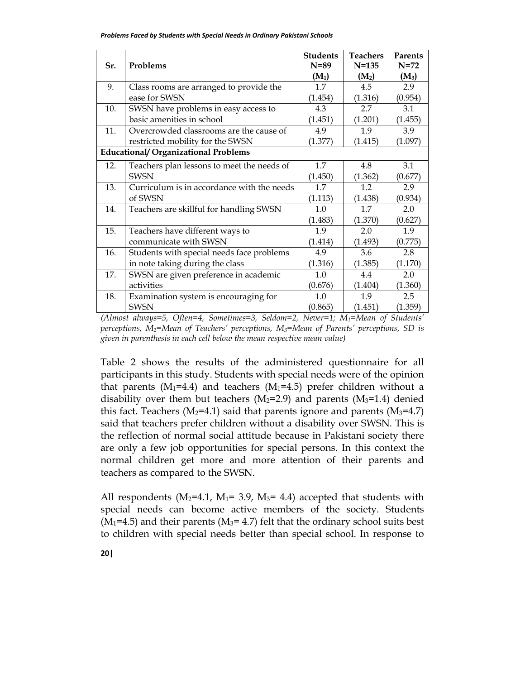| Sr. | Problems                                    | <b>Students</b><br>$N = 89$ | <b>Teachers</b><br>$N = 135$ | <b>Parents</b><br>$N = 72$ |
|-----|---------------------------------------------|-----------------------------|------------------------------|----------------------------|
|     |                                             | $(M_1)$                     | $(M_2)$                      | $(M_3)$                    |
| 9.  | Class rooms are arranged to provide the     | $1.7\phantom{0}$            | 4.5                          | 2.9                        |
|     | ease for SWSN                               | (1.454)                     | (1.316)                      | (0.954)                    |
| 10. | SWSN have problems in easy access to        | 4.3                         | 2.7                          | 3.1                        |
|     | basic amenities in school                   | (1.451)                     | (1.201)                      | (1.455)                    |
| 11. | Overcrowded classrooms are the cause of     | 4.9                         | 1.9                          | 3.9                        |
|     | restricted mobility for the SWSN            | (1.377)                     | (1.415)                      | (1.097)                    |
|     | <b>Educational/ Organizational Problems</b> |                             |                              |                            |
| 12. | Teachers plan lessons to meet the needs of  | 1.7                         | 4.8                          | 3.1                        |
|     | <b>SWSN</b>                                 | (1.450)                     | (1.362)                      | (0.677)                    |
| 13. | Curriculum is in accordance with the needs  | 1.7                         | 1.2                          | 2.9                        |
|     | of SWSN                                     | (1.113)                     | (1.438)                      | (0.934)                    |
| 14. | Teachers are skillful for handling SWSN     | 1.0                         | 1.7                          | 2.0                        |
|     |                                             | (1.483)                     | (1.370)                      | (0.627)                    |
| 15. | Teachers have different ways to             | 1.9                         | 2.0                          | 1.9                        |
|     | communicate with SWSN                       | (1.414)                     | (1.493)                      | (0.775)                    |
| 16. | Students with special needs face problems   | 4.9                         | 3.6                          | 2.8                        |
|     | in note taking during the class             | (1.316)                     | (1.385)                      | (1.170)                    |
| 17. | SWSN are given preference in academic       | 1.0                         | 4.4                          | 2.0                        |
|     | activities                                  | (0.676)                     | (1.404)                      | (1.360)                    |
| 18. | Examination system is encouraging for       | 1.0                         | 1.9                          | 2.5                        |
|     | <b>SWSN</b>                                 | (0.865)                     | (1.451)                      | (1.359)                    |

*(Almost always=5, Often=4, Sometimes=3, Seldom=2, Never=1; M1=Mean of Students' perceptions, M2=Mean of Teachers' perceptions, M3=Mean of Parents' perceptions, SD is given in parenthesis in each cell below the mean respective mean value)* 

Table 2 shows the results of the administered questionnaire for all participants in this study. Students with special needs were of the opinion that parents ( $M_1$ =4.4) and teachers ( $M_1$ =4.5) prefer children without a disability over them but teachers ( $M_2$ =2.9) and parents ( $M_3$ =1.4) denied this fact. Teachers ( $M_2$ =4.1) said that parents ignore and parents ( $M_3$ =4.7) said that teachers prefer children without a disability over SWSN. This is the reflection of normal social attitude because in Pakistani society there are only a few job opportunities for special persons. In this context the normal children get more and more attention of their parents and teachers as compared to the SWSN.

All respondents ( $M_2$ =4.1,  $M_1$ = 3.9,  $M_3$ = 4.4) accepted that students with special needs can become active members of the society. Students  $(M<sub>1</sub>=4.5)$  and their parents  $(M<sub>3</sub>=4.7)$  felt that the ordinary school suits best to children with special needs better than special school. In response to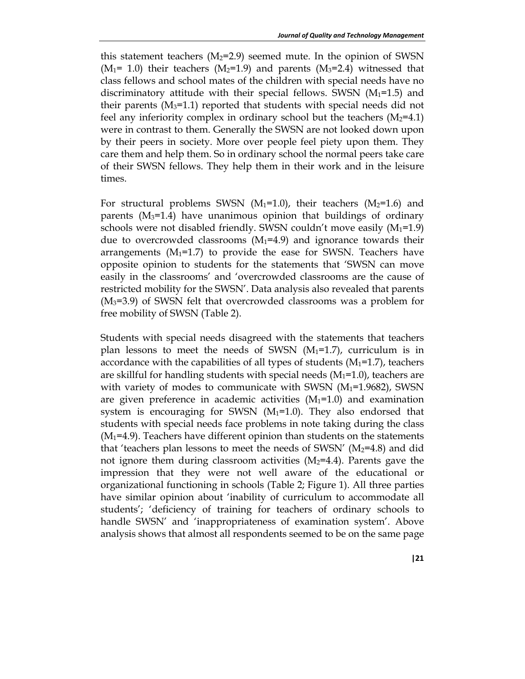this statement teachers  $(M_2=2.9)$  seemed mute. In the opinion of SWSN  $(M_1= 1.0)$  their teachers  $(M_2=1.9)$  and parents  $(M_3=2.4)$  witnessed that class fellows and school mates of the children with special needs have no discriminatory attitude with their special fellows. SWSN  $(M_1=1.5)$  and their parents  $(M_3=1.1)$  reported that students with special needs did not feel any inferiority complex in ordinary school but the teachers  $(M_2=4.1)$ were in contrast to them. Generally the SWSN are not looked down upon by their peers in society. More over people feel piety upon them. They care them and help them. So in ordinary school the normal peers take care of their SWSN fellows. They help them in their work and in the leisure times.

For structural problems SWSN  $(M_1=1.0)$ , their teachers  $(M_2=1.6)$  and parents  $(M_3=1.4)$  have unanimous opinion that buildings of ordinary schools were not disabled friendly. SWSN couldn't move easily  $(M_1=1.9)$ due to overcrowded classrooms  $(M_1=4.9)$  and ignorance towards their arrangements  $(M_1=1.7)$  to provide the ease for SWSN. Teachers have opposite opinion to students for the statements that 'SWSN can move easily in the classrooms' and 'overcrowded classrooms are the cause of restricted mobility for the SWSN'. Data analysis also revealed that parents (M3=3.9) of SWSN felt that overcrowded classrooms was a problem for free mobility of SWSN (Table 2).

Students with special needs disagreed with the statements that teachers plan lessons to meet the needs of SWSN  $(M_1=1.7)$ , curriculum is in accordance with the capabilities of all types of students  $(M_1=1.7)$ , teachers are skillful for handling students with special needs  $(M_1=1.0)$ , teachers are with variety of modes to communicate with SWSN  $(M_1=1.9682)$ , SWSN are given preference in academic activities  $(M_1=1.0)$  and examination system is encouraging for SWSN  $(M_1=1.0)$ . They also endorsed that students with special needs face problems in note taking during the class  $(M<sub>1</sub>=4.9)$ . Teachers have different opinion than students on the statements that 'teachers plan lessons to meet the needs of SWSN'  $(M_2=4.8)$  and did not ignore them during classroom activities  $(M_2=4.4)$ . Parents gave the impression that they were not well aware of the educational or organizational functioning in schools (Table 2; Figure 1). All three parties have similar opinion about 'inability of curriculum to accommodate all students'; 'deficiency of training for teachers of ordinary schools to handle SWSN' and 'inappropriateness of examination system'. Above analysis shows that almost all respondents seemed to be on the same page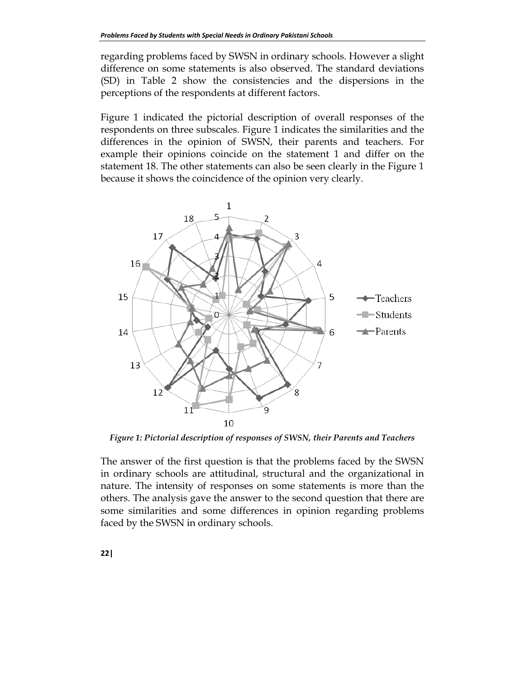regarding problems faced by SWSN in ordinary schools. However a slight difference on some statements is also observed. The standard deviations (SD) in Table 2 show the consistencies and the dispersions in the perceptions of the respondents at different factors.

Figure 1 indicated the pictorial description of overall responses of the respondents on three subscales. Figure 1 indicates the similarities and the differences in the opinion of SWSN, their parents and teachers. For example their opinions coincide on the statement 1 and differ on the statement 18. The other statements can also be seen clearly in the Figure 1 because it shows the coincidence of the opinion very clearly.



*Figure 1: Pictorial description of responses of SWSN, their Parents and Teachers* 

The answer of the first question is that the problems faced by the SWSN in ordinary schools are attitudinal, structural and the organizational in nature. The intensity of responses on some statements is more than the others. The analysis gave the answer to the second question that there are some similarities and some differences in opinion regarding problems faced by the SWSN in ordinary schools.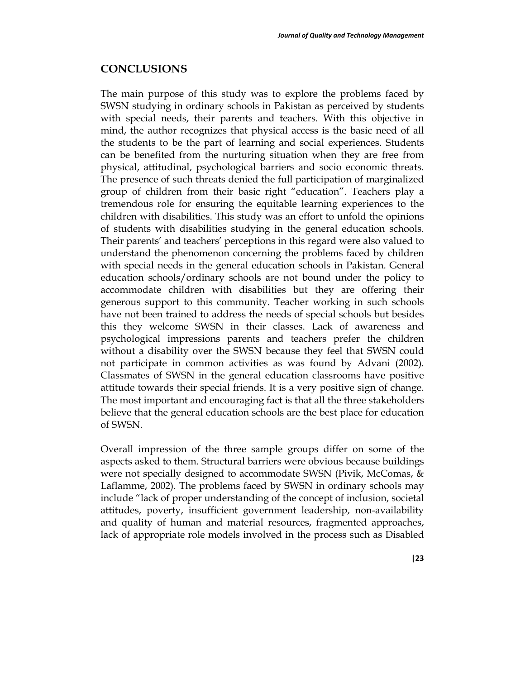#### **CONCLUSIONS**

The main purpose of this study was to explore the problems faced by SWSN studying in ordinary schools in Pakistan as perceived by students with special needs, their parents and teachers. With this objective in mind, the author recognizes that physical access is the basic need of all the students to be the part of learning and social experiences. Students can be benefited from the nurturing situation when they are free from physical, attitudinal, psychological barriers and socio economic threats. The presence of such threats denied the full participation of marginalized group of children from their basic right "education". Teachers play a tremendous role for ensuring the equitable learning experiences to the children with disabilities. This study was an effort to unfold the opinions of students with disabilities studying in the general education schools. Their parents' and teachers' perceptions in this regard were also valued to understand the phenomenon concerning the problems faced by children with special needs in the general education schools in Pakistan. General education schools/ordinary schools are not bound under the policy to accommodate children with disabilities but they are offering their generous support to this community. Teacher working in such schools have not been trained to address the needs of special schools but besides this they welcome SWSN in their classes. Lack of awareness and psychological impressions parents and teachers prefer the children without a disability over the SWSN because they feel that SWSN could not participate in common activities as was found by Advani (2002). Classmates of SWSN in the general education classrooms have positive attitude towards their special friends. It is a very positive sign of change. The most important and encouraging fact is that all the three stakeholders believe that the general education schools are the best place for education of SWSN.

Overall impression of the three sample groups differ on some of the aspects asked to them. Structural barriers were obvious because buildings were not specially designed to accommodate SWSN (Pivik, McComas, & Laflamme, 2002). The problems faced by SWSN in ordinary schools may include "lack of proper understanding of the concept of inclusion, societal attitudes, poverty, insufficient government leadership, non-availability and quality of human and material resources, fragmented approaches, lack of appropriate role models involved in the process such as Disabled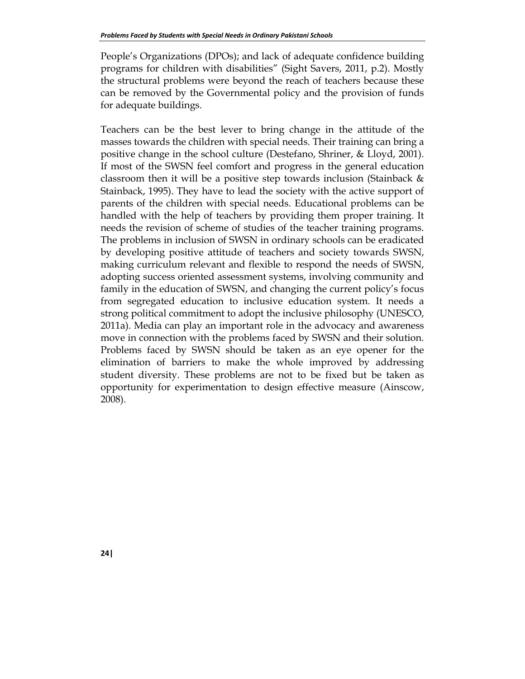People's Organizations (DPOs); and lack of adequate confidence building programs for children with disabilities" (Sight Savers, 2011, p.2). Mostly the structural problems were beyond the reach of teachers because these can be removed by the Governmental policy and the provision of funds for adequate buildings.

Teachers can be the best lever to bring change in the attitude of the masses towards the children with special needs. Their training can bring a positive change in the school culture (Destefano, Shriner, & Lloyd, 2001). If most of the SWSN feel comfort and progress in the general education classroom then it will be a positive step towards inclusion (Stainback & Stainback, 1995). They have to lead the society with the active support of parents of the children with special needs. Educational problems can be handled with the help of teachers by providing them proper training. It needs the revision of scheme of studies of the teacher training programs. The problems in inclusion of SWSN in ordinary schools can be eradicated by developing positive attitude of teachers and society towards SWSN, making curriculum relevant and flexible to respond the needs of SWSN, adopting success oriented assessment systems, involving community and family in the education of SWSN, and changing the current policy's focus from segregated education to inclusive education system. It needs a strong political commitment to adopt the inclusive philosophy (UNESCO, 2011a). Media can play an important role in the advocacy and awareness move in connection with the problems faced by SWSN and their solution. Problems faced by SWSN should be taken as an eye opener for the elimination of barriers to make the whole improved by addressing student diversity. These problems are not to be fixed but be taken as opportunity for experimentation to design effective measure (Ainscow, 2008).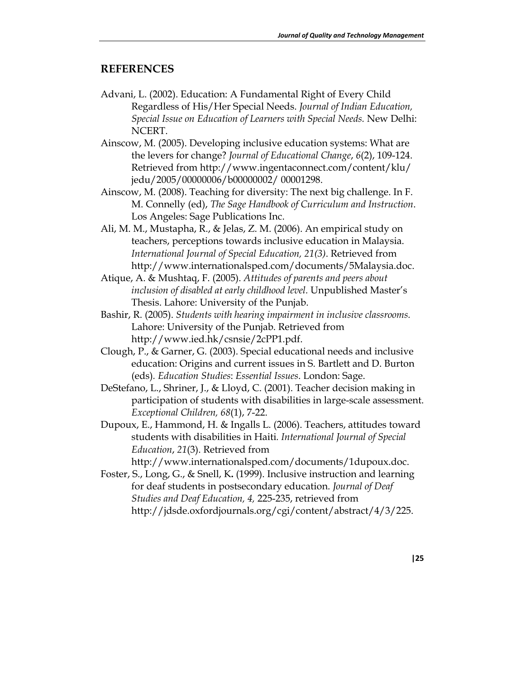#### **REFERENCES**

- Advani, L. (2002). Education: A Fundamental Right of Every Child Regardless of His/Her Special Needs. *Journal of Indian Education, Special Issue on Education of Learners with Special Needs.* New Delhi: NCERT.
- Ainscow, M. (2005). Developing inclusive education systems: What are the levers for change? *Journal of Educational Change*, *6*(2), 109-124. Retrieved from http://www.ingentaconnect.com/content/klu/ jedu/2005/00000006/b00000002/ 00001298.
- Ainscow, M. (2008). Teaching for diversity: The next big challenge. In F. M. Connelly (ed), *The Sage Handbook of Curriculum and Instruction*. Los Angeles: Sage Publications Inc.
- Ali, M. M., Mustapha, R., & Jelas, Z. M. (2006). An empirical study on teachers, perceptions towards inclusive education in Malaysia. *International Journal of Special Education, 21(3)*. Retrieved from http://www.internationalsped.com/documents/5Malaysia.doc.
- Atique, A. & Mushtaq, F. (2005). *Attitudes of parents and peers about inclusion of disabled at early childhood level.* Unpublished Master's Thesis. Lahore: University of the Punjab.
- Bashir, R. (2005). *Students with hearing impairment in inclusive classrooms.* Lahore: University of the Punjab. Retrieved from http://www.ied.hk/csnsie/2cPP1.pdf.
- Clough, P., & Garner, G. (2003). Special educational needs and inclusive education: Origins and current issues in S. Bartlett and D. Burton (eds)*. Education Studies*: *Essential Issues*. London: Sage.
- DeStefano, L., Shriner, J., & Lloyd, C. (2001). Teacher decision making in participation of students with disabilities in large-scale assessment. *Exceptional Children, 68*(1), 7-22.
- Dupoux, E., Hammond, H. & Ingalls L. (2006). Teachers, attitudes toward students with disabilities in Haiti*. International Journal of Special Education*, *21*(3). Retrieved from

http://www.internationalsped.com/documents/1dupoux.doc.

Foster, S., Long, G., & Snell, K**.** (1999). Inclusive instruction and learning for deaf students in postsecondary education. *Journal of Deaf Studies and Deaf Education, 4,* 225-235, retrieved from http://jdsde.oxfordjournals.org/cgi/content/abstract/4/3/225.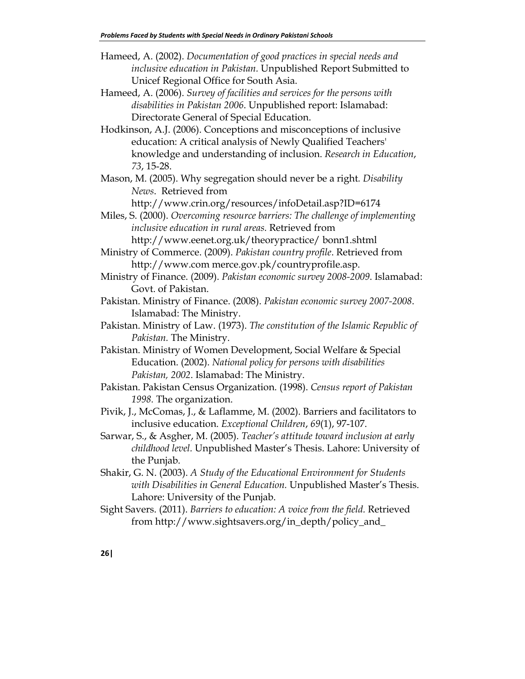Hameed, A. (2002). *Documentation of good practices in special needs and inclusive education in Pakistan.* Unpublished Report Submitted to Unicef Regional Office for South Asia.

- Hameed, A. (2006). *Survey of facilities and services for the persons with disabilities in Pakistan 2006*. Unpublished report: Islamabad: Directorate General of Special Education.
- Hodkinson, A.J. (2006). Conceptions and misconceptions of inclusive education: A critical analysis of Newly Qualified Teachers' knowledge and understanding of inclusion. *Research in Education*, *73*, 15-28.
- Mason, M. (2005). Why segregation should never be a right*. Disability News*. Retrieved from

http://www.crin.org/resources/infoDetail.asp?ID=6174

Miles, S. (2000). *Overcoming resource barriers: The challenge of implementing inclusive education in rural areas.* Retrieved from http://www.eenet.org.uk/theorypractice/ bonn1.shtml

Ministry of Commerce. (2009). *Pakistan country profile*. Retrieved from http://www.com merce.gov.pk/countryprofile.asp.

- Ministry of Finance. (2009). *Pakistan economic survey 2008-2009*. Islamabad: Govt. of Pakistan.
- Pakistan. Ministry of Finance. (2008). *Pakistan economic survey 2007-2008*. Islamabad: The Ministry.
- Pakistan. Ministry of Law. (1973). *The constitution of the Islamic Republic of Pakistan.* The Ministry.
- Pakistan. Ministry of Women Development, Social Welfare & Special Education. (2002). *National policy for persons with disabilities Pakistan, 2002*. Islamabad: The Ministry.
- Pakistan. Pakistan Census Organization. (1998). *Census report of Pakistan 1998.* The organization.
- Pivik, J., McComas, J., & Laflamme, M. (2002). Barriers and facilitators to inclusive education. *Exceptional Children*, *69*(1), 97-107.
- Sarwar, S., & Asgher, M. (2005). *Teacher's attitude toward inclusion at early childhood level.* Unpublished Master's Thesis. Lahore: University of the Punjab.
- Shakir, G. N. (2003). *A Study of the Educational Environment for Students with Disabilities in General Education.* Unpublished Master's Thesis. Lahore: University of the Punjab.
- Sight Savers. (2011). *Barriers to education: A voice from the field.* Retrieved from http://www.sightsavers.org/in\_depth/policy\_and\_